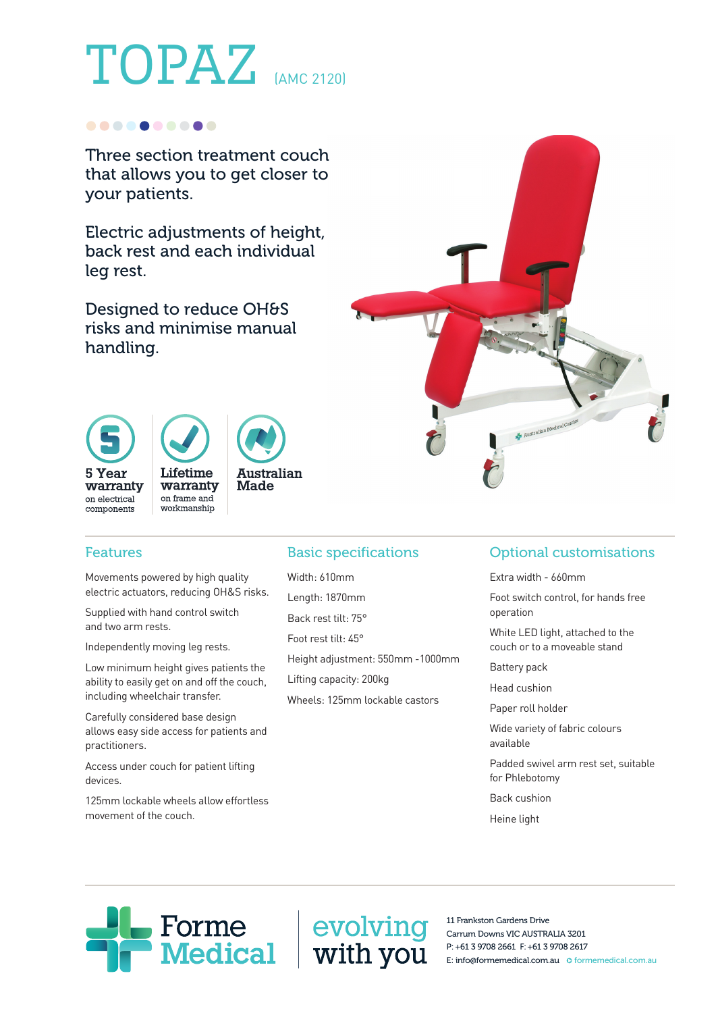# TOPAZ (AMC 2120)

#### ..........

Three section treatment couch that allows you to get closer to your patients.

Electric adjustments of height, back rest and each individual leg rest.

Designed to reduce OH&S risks and minimise manual handling.





### Features

 Movements powered by high quality electric actuators, reducing OH&S risks.

Supplied with hand control switch and two arm rests.

Independently moving leg rests.

Low minimum height gives patients the ability to easily get on and off the couch, including wheelchair transfer.

 Carefully considered base design allows easy side access for patients and practitioners.

 Access under couch for patient lifting devices.

 125mm lockable wheels allow effortless movement of the couch.

## Basic specifications

Width: 610mm Length: 1870mm Back rest tilt: 75° Foot rest tilt: 45°

Height adjustment: 550mm -1000mm

Lifting capacity: 200kg

Wheels: 125mm lockable castors

## Optional customisations

Extra width - 660mm

Australian Medical<sup>C</sup>

Foot switch control, for hands free operation

White LED light, attached to the couch or to a moveable stand

Battery pack

Head cushion

Paper roll holder

Wide variety of fabric colours available

Padded swivel arm rest set, suitable for Phlebotomy

Back cushion

Heine light



11 Frankston Gardens Drive Carrum Downs VIC AUSTRALIA 3201 P: +61 3 9708 2661 F: +61 3 9708 2617 E: info@formemedical.com.au O formemedical.com.au